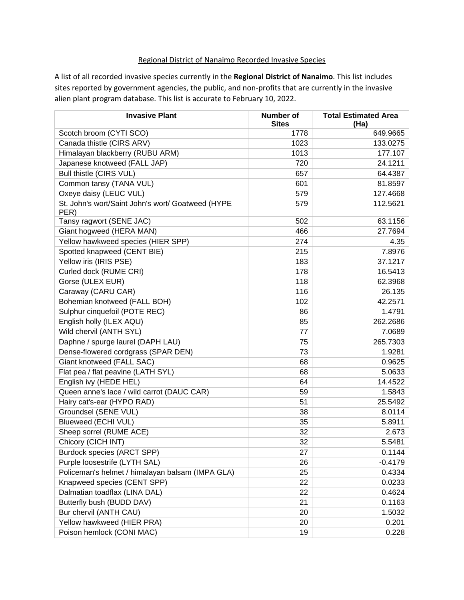## Regional District of Nanaimo Recorded Invasive Species

A list of all recorded invasive species currently in the **Regional District of Nanaimo**. This list includes sites reported by government agencies, the public, and non-profits that are currently in the invasive alien plant program database. This list is accurate to February 10, 2022.

| <b>Invasive Plant</b>                                     | Number of    | <b>Total Estimated Area</b> |
|-----------------------------------------------------------|--------------|-----------------------------|
|                                                           | <b>Sites</b> | (Ha)                        |
| Scotch broom (CYTI SCO)                                   | 1778         | 649.9665                    |
| Canada thistle (CIRS ARV)                                 | 1023         | 133.0275                    |
| Himalayan blackberry (RUBU ARM)                           | 1013         | 177.107                     |
| Japanese knotweed (FALL JAP)                              | 720          | 24.1211                     |
| Bull thistle (CIRS VUL)                                   | 657          | 64.4387                     |
| Common tansy (TANA VUL)                                   | 601          | 81.8597                     |
| Oxeye daisy (LEUC VUL)                                    | 579          | 127.4668                    |
| St. John's wort/Saint John's wort/ Goatweed (HYPE<br>PER) | 579          | 112.5621                    |
| Tansy ragwort (SENE JAC)                                  | 502          | 63.1156                     |
| Giant hogweed (HERA MAN)                                  | 466          | 27.7694                     |
| Yellow hawkweed species (HIER SPP)                        | 274          | 4.35                        |
| Spotted knapweed (CENT BIE)                               | 215          | 7.8976                      |
| Yellow iris (IRIS PSE)                                    | 183          | 37.1217                     |
| Curled dock (RUME CRI)                                    | 178          | 16.5413                     |
| Gorse (ULEX EUR)                                          | 118          | 62.3968                     |
| Caraway (CARU CAR)                                        | 116          | 26.135                      |
| Bohemian knotweed (FALL BOH)                              | 102          | 42.2571                     |
| Sulphur cinquefoil (POTE REC)                             | 86           | 1.4791                      |
| English holly (ILEX AQU)                                  | 85           | 262.2686                    |
| Wild chervil (ANTH SYL)                                   | 77           | 7.0689                      |
| Daphne / spurge laurel (DAPH LAU)                         | 75           | 265.7303                    |
| Dense-flowered cordgrass (SPAR DEN)                       | 73           | 1.9281                      |
| Giant knotweed (FALL SAC)                                 | 68           | 0.9625                      |
| Flat pea / flat peavine (LATH SYL)                        | 68           | 5.0633                      |
| English ivy (HEDE HEL)                                    | 64           | 14.4522                     |
| Queen anne's lace / wild carrot (DAUC CAR)                | 59           | 1.5843                      |
| Hairy cat's-ear (HYPO RAD)                                | 51           | 25.5492                     |
| Groundsel (SENE VUL)                                      | 38           | 8.0114                      |
| Blueweed (ECHI VUL)                                       | 35           | 5.8911                      |
| Sheep sorrel (RUME ACE)                                   | 32           | 2.673                       |
| Chicory (CICH INT)                                        | 32           | 5.5481                      |
| Burdock species (ARCT SPP)                                | 27           | 0.1144                      |
| Purple loosestrife (LYTH SAL)                             | 26           | $-0.4179$                   |
| Policeman's helmet / himalayan balsam (IMPA GLA)          | 25           | 0.4334                      |
| Knapweed species (CENT SPP)                               | 22           | 0.0233                      |
| Dalmatian toadflax (LINA DAL)                             | 22           | 0.4624                      |
| Butterfly bush (BUDD DAV)                                 | 21           | 0.1163                      |
| Bur chervil (ANTH CAU)                                    | 20           | 1.5032                      |
| Yellow hawkweed (HIER PRA)                                | 20           | 0.201                       |
| Poison hemlock (CONI MAC)                                 | 19           | 0.228                       |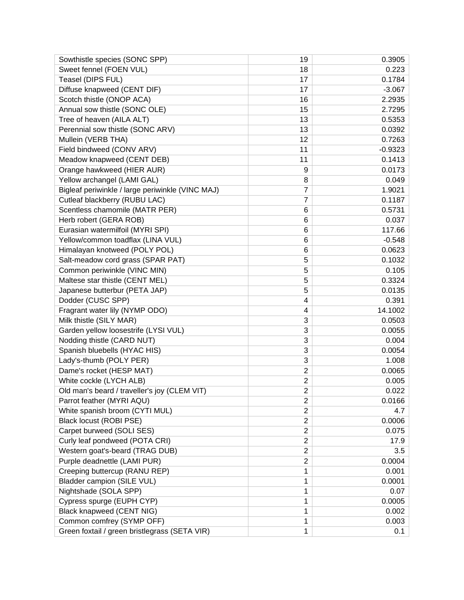| Sowthistle species (SONC SPP)                    | 19             | 0.3905    |
|--------------------------------------------------|----------------|-----------|
| Sweet fennel (FOEN VUL)                          | 18             | 0.223     |
| Teasel (DIPS FUL)                                | 17             | 0.1784    |
| Diffuse knapweed (CENT DIF)                      | 17             | $-3.067$  |
| Scotch thistle (ONOP ACA)                        | 16             | 2.2935    |
| Annual sow thistle (SONC OLE)                    | 15             | 2.7295    |
| Tree of heaven (AILA ALT)                        | 13             | 0.5353    |
| Perennial sow thistle (SONC ARV)                 | 13             | 0.0392    |
| Mullein (VERB THA)                               | 12             | 0.7263    |
| Field bindweed (CONV ARV)                        | 11             | $-0.9323$ |
| Meadow knapweed (CENT DEB)                       | 11             | 0.1413    |
| Orange hawkweed (HIER AUR)                       | 9              | 0.0173    |
| Yellow archangel (LAMI GAL)                      | 8              | 0.049     |
| Bigleaf periwinkle / large periwinkle (VINC MAJ) | 7              | 1.9021    |
| Cutleaf blackberry (RUBU LAC)                    | $\overline{7}$ | 0.1187    |
| Scentless chamomile (MATR PER)                   | 6              | 0.5731    |
| Herb robert (GERA ROB)                           | 6              | 0.037     |
| Eurasian watermilfoil (MYRI SPI)                 | 6              | 117.66    |
| Yellow/common toadflax (LINA VUL)                | 6              | $-0.548$  |
| Himalayan knotweed (POLY POL)                    | 6              | 0.0623    |
| Salt-meadow cord grass (SPAR PAT)                | 5              | 0.1032    |
| Common periwinkle (VINC MIN)                     | 5              | 0.105     |
| Maltese star thistle (CENT MEL)                  | 5              | 0.3324    |
| Japanese butterbur (PETA JAP)                    | 5              | 0.0135    |
| Dodder (CUSC SPP)                                | 4              | 0.391     |
| Fragrant water lily (NYMP ODO)                   | 4              | 14.1002   |
| Milk thistle (SILY MAR)                          | 3              | 0.0503    |
| Garden yellow loosestrife (LYSI VUL)             | 3              | 0.0055    |
| Nodding thistle (CARD NUT)                       | 3              | 0.004     |
| Spanish bluebells (HYAC HIS)                     | 3              | 0.0054    |
| Lady's-thumb (POLY PER)                          | 3              | 1.008     |
| Dame's rocket (HESP MAT)                         | $\overline{2}$ | 0.0065    |
| White cockle (LYCH ALB)                          | $\overline{2}$ | 0.005     |
| Old man's beard / traveller's joy (CLEM VIT)     | $\overline{2}$ | 0.022     |
| Parrot feather (MYRI AQU)                        | $\mathbf 2$    | 0.0166    |
| White spanish broom (CYTI MUL)                   | 2              | 4.7       |
| Black locust (ROBI PSE)                          | $\overline{2}$ | 0.0006    |
| Carpet burweed (SOLI SES)                        | $\overline{2}$ | 0.075     |
| Curly leaf pondweed (POTA CRI)                   | $\overline{c}$ | 17.9      |
| Western goat's-beard (TRAG DUB)                  | $\overline{2}$ | 3.5       |
| Purple deadnettle (LAMI PUR)                     | $\overline{2}$ | 0.0004    |
| Creeping buttercup (RANU REP)                    | 1              | 0.001     |
| Bladder campion (SILE VUL)                       | 1              | 0.0001    |
| Nightshade (SOLA SPP)                            | 1              | 0.07      |
| Cypress spurge (EUPH CYP)                        | 1              | 0.0005    |
| <b>Black knapweed (CENT NIG)</b>                 | 1              | 0.002     |
| Common comfrey (SYMP OFF)                        | 1              | 0.003     |
| Green foxtail / green bristlegrass (SETA VIR)    | 1              | 0.1       |